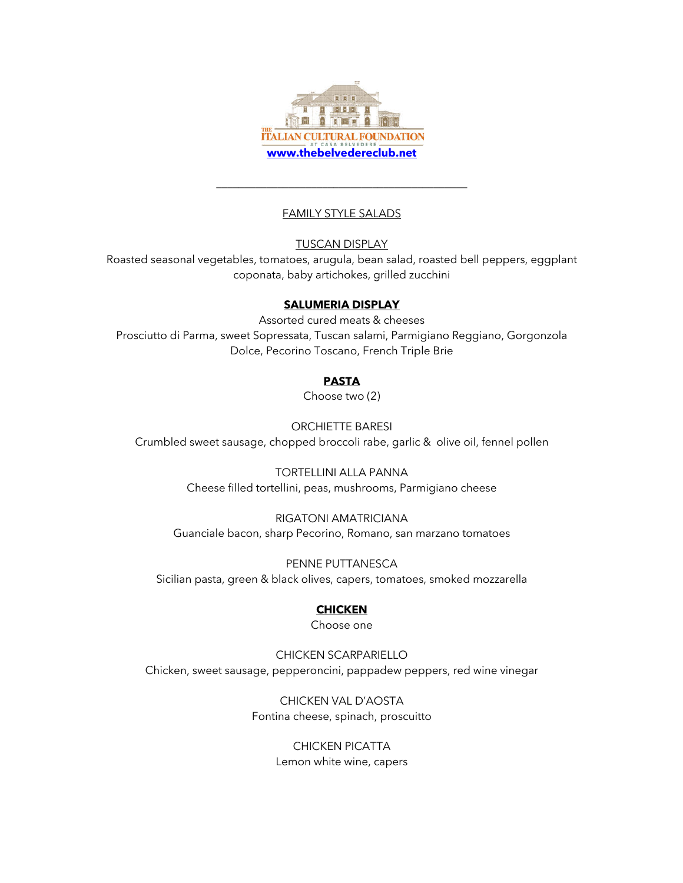

# FAMILY STYLE SALADS

\_\_\_\_\_\_\_\_\_\_\_\_\_\_\_\_\_\_\_\_\_\_\_\_\_\_\_\_\_\_\_\_\_\_\_\_\_\_\_\_\_\_\_\_\_

TUSCAN DISPLAY

Roasted seasonal vegetables, tomatoes, arugula, bean salad, roasted bell peppers, eggplant coponata, baby artichokes, grilled zucchini

### **SALUMERIA DISPLAY**

Assorted cured meats & cheeses Prosciutto di Parma, sweet Sopressata, Tuscan salami, Parmigiano Reggiano, Gorgonzola Dolce, Pecorino Toscano, French Triple Brie

# **PASTA**

Choose two (2)

ORCHIETTE BARESI Crumbled sweet sausage, chopped broccoli rabe, garlic & olive oil, fennel pollen

> TORTELLINI ALLA PANNA Cheese filled tortellini, peas, mushrooms, Parmigiano cheese

RIGATONI AMATRICIANA Guanciale bacon, sharp Pecorino, Romano, san marzano tomatoes

PENNE PUTTANESCA Sicilian pasta, green & black olives, capers, tomatoes, smoked mozzarella

# **CHICKEN**

Choose one

CHICKEN SCARPARIELLO Chicken, sweet sausage, pepperoncini, pappadew peppers, red wine vinegar

> CHICKEN VAL D'AOSTA Fontina cheese, spinach, proscuitto

> > CHICKEN PICATTA Lemon white wine, capers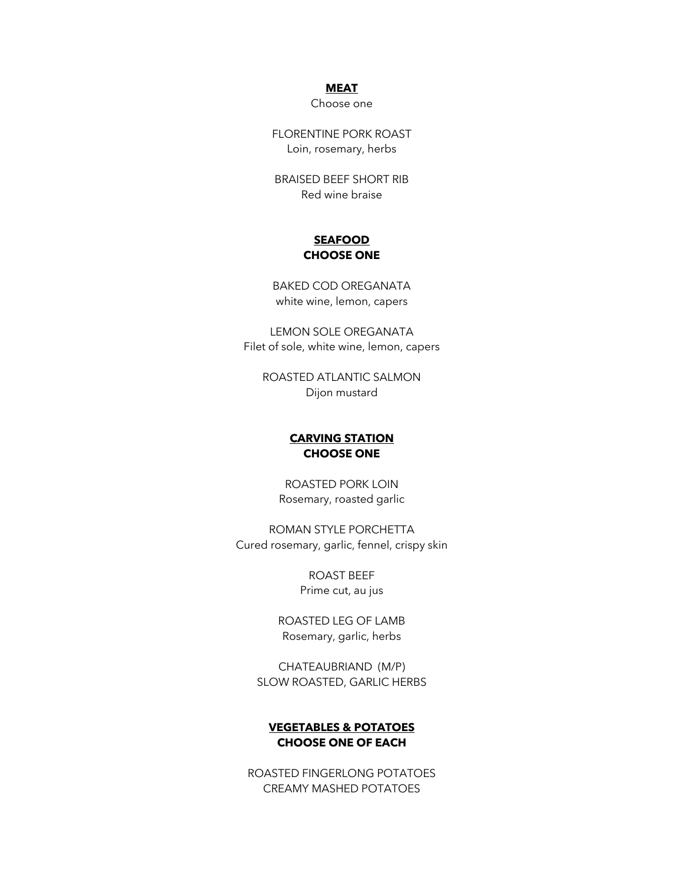#### **MEAT**

Choose one

FLORENTINE PORK ROAST Loin, rosemary, herbs

BRAISED BEEF SHORT RIB Red wine braise

### **SEAFOOD CHOOSE ONE**

BAKED COD OREGANATA white wine, lemon, capers

LEMON SOLE OREGANATA Filet of sole, white wine, lemon, capers

ROASTED ATLANTIC SALMON Dijon mustard

### **CARVING STATION CHOOSE ONE**

ROASTED PORK LOIN Rosemary, roasted garlic

ROMAN STYLE PORCHETTA Cured rosemary, garlic, fennel, crispy skin

> ROAST BEEF Prime cut, au jus

ROASTED LEG OF LAMB Rosemary, garlic, herbs

CHATEAUBRIAND (M/P) SLOW ROASTED, GARLIC HERBS

### **VEGETABLES & POTATOES CHOOSE ONE OF EACH**

ROASTED FINGERLONG POTATOES CREAMY MASHED POTATOES